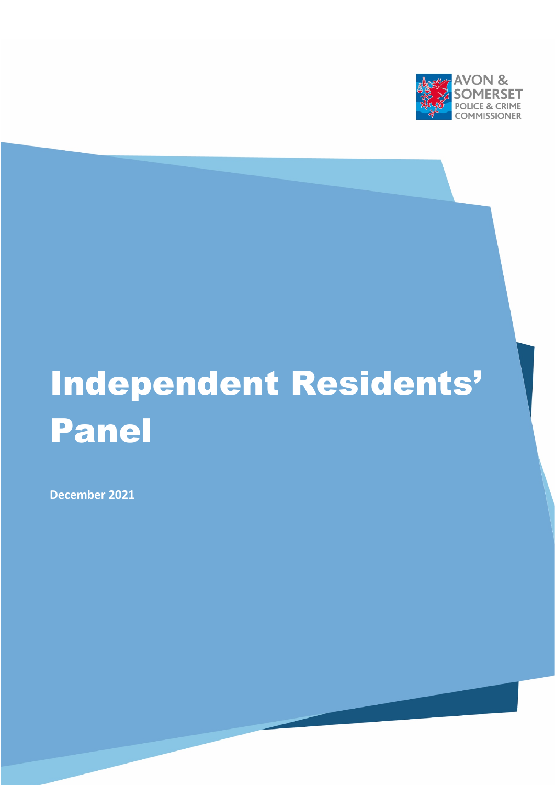

# Independent Residents' Panel

**December 2021**

[Type here]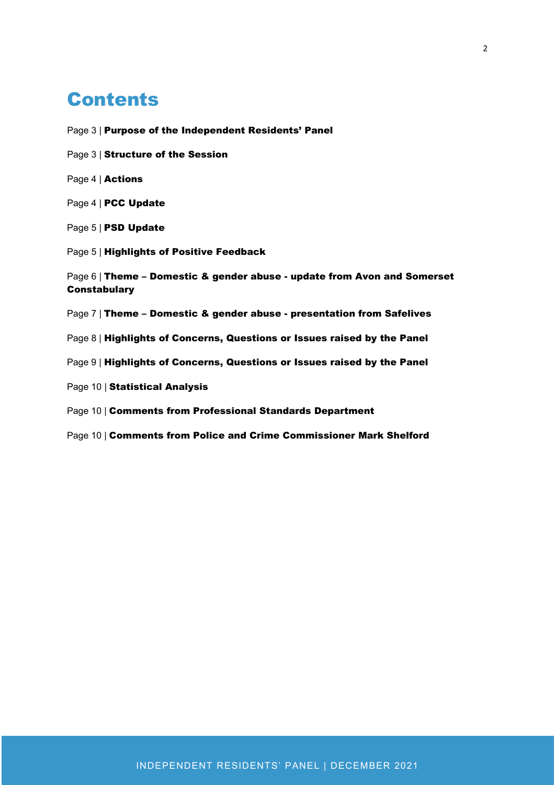### **Contents**

Page 3 | Purpose of the Independent Residents' Panel Page 3 | Structure of the Session Page 4 | Actions Page 4 | PCC Update Page 5 | PSD Update Page 5 | Highlights of Positive Feedback Page 6 | Theme - Domestic & gender abuse - update from Avon and Somerset **Constabulary** Page 7 | Theme – Domestic & gender abuse - presentation from Safelives Page 8 | Highlights of Concerns, Questions or Issues raised by the Panel Page 9 | Highlights of Concerns, Questions or Issues raised by the Panel Page 10 | Statistical Analysis Page 10 | Comments from Professional Standards Department Page 10 | Comments from Police and Crime Commissioner Mark Shelford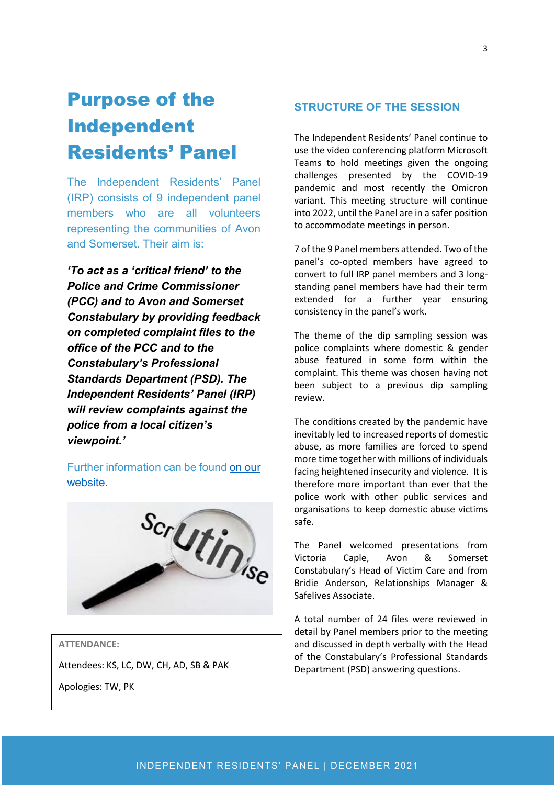# Purpose of the Independent Residents' Panel

The Independent Residents' Panel (IRP) consists of 9 independent panel members who are all volunteers representing the communities of Avon and Somerset. Their aim is:

*'To act as a 'critical friend' to the Police and Crime Commissioner (PCC) and to Avon and Somerset Constabulary by providing feedback on completed complaint files to the office of the PCC and to the Constabulary's Professional Standards Department (PSD). The Independent Residents' Panel (IRP) will review complaints against the police from a local citizen's viewpoint.'*

Further information can be found [on our](https://www.avonandsomerset-pcc.gov.uk/reports-publications/independent-residents-panel-reports/)  [website.](https://www.avonandsomerset-pcc.gov.uk/reports-publications/independent-residents-panel-reports/)



#### **ATTENDANCE:**

Attendees: KS, LC, DW, CH, AD, SB & PAK

Apologies: TW, PK

#### **STRUCTURE OF THE SESSION**

The Independent Residents' Panel continue to use the video conferencing platform Microsoft Teams to hold meetings given the ongoing challenges presented by the COVID-19 pandemic and most recently the Omicron variant. This meeting structure will continue into 2022, until the Panel are in a safer position to accommodate meetings in person.

7 of the 9 Panel members attended. Two of the panel's co-opted members have agreed to convert to full IRP panel members and 3 longstanding panel members have had their term extended for a further year ensuring consistency in the panel's work.

The theme of the dip sampling session was police complaints where domestic & gender abuse featured in some form within the complaint. This theme was chosen having not been subject to a previous dip sampling review.

The conditions created by the pandemic have inevitably led to increased reports of domestic abuse, as more families are forced to spend more time together with millions of individuals facing heightened insecurity and violence. It is therefore more important than ever that the police work with other public services and organisations to keep domestic abuse victims safe.

The Panel welcomed presentations from Victoria Caple, Avon & Somerset Constabulary's Head of Victim Care and from Bridie Anderson, Relationships Manager & Safelives Associate.

A total number of 24 files were reviewed in detail by Panel members prior to the meeting and discussed in depth verbally with the Head of the Constabulary's Professional Standards Department (PSD) answering questions.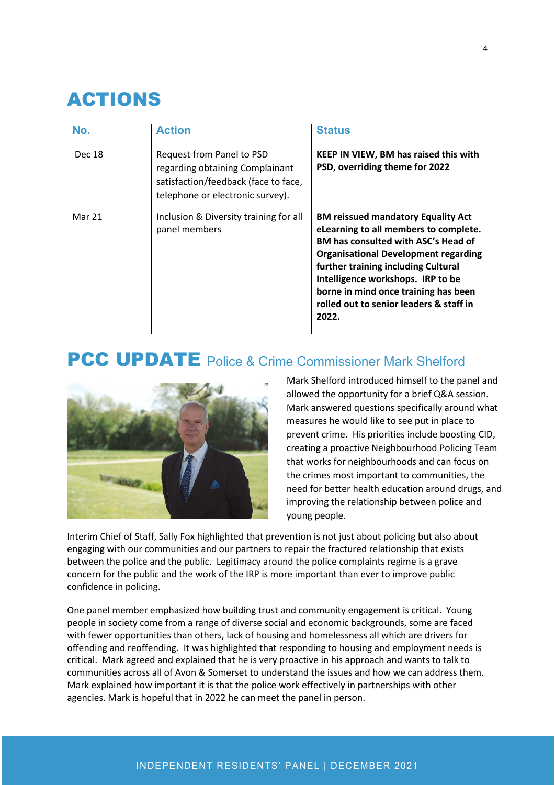## ACTIONS

| No.    | <b>Action</b>                                                                                                                            | <b>Status</b>                                                                                                                                                                                                                                                                                                                                           |
|--------|------------------------------------------------------------------------------------------------------------------------------------------|---------------------------------------------------------------------------------------------------------------------------------------------------------------------------------------------------------------------------------------------------------------------------------------------------------------------------------------------------------|
| Dec 18 | Request from Panel to PSD<br>regarding obtaining Complainant<br>satisfaction/feedback (face to face,<br>telephone or electronic survey). | KEEP IN VIEW, BM has raised this with<br>PSD, overriding theme for 2022                                                                                                                                                                                                                                                                                 |
| Mar 21 | Inclusion & Diversity training for all<br>panel members                                                                                  | <b>BM reissued mandatory Equality Act</b><br>eLearning to all members to complete.<br><b>BM has consulted with ASC's Head of</b><br><b>Organisational Development regarding</b><br>further training including Cultural<br>Intelligence workshops. IRP to be<br>borne in mind once training has been<br>rolled out to senior leaders & staff in<br>2022. |

### PCC UPDATE Police & Crime Commissioner Mark Shelford



Mark Shelford introduced himself to the panel and allowed the opportunity for a brief Q&A session. Mark answered questions specifically around what measures he would like to see put in place to prevent crime. His priorities include boosting CID, creating a proactive Neighbourhood Policing Team that works for neighbourhoods and can focus on the crimes most important to communities, the need for better health education around drugs, and improving the relationship between police and young people.

Interim Chief of Staff, Sally Fox highlighted that prevention is not just about policing but also about engaging with our communities and our partners to repair the fractured relationship that exists between the police and the public. Legitimacy around the police complaints regime is a grave concern for the public and the work of the IRP is more important than ever to improve public confidence in policing.

One panel member emphasized how building trust and community engagement is critical. Young people in society come from a range of diverse social and economic backgrounds, some are faced with fewer opportunities than others, lack of housing and homelessness all which are drivers for offending and reoffending. It was highlighted that responding to housing and employment needs is critical. Mark agreed and explained that he is very proactive in his approach and wants to talk to communities across all of Avon & Somerset to understand the issues and how we can address them. Mark explained how important it is that the police work effectively in partnerships with other agencies. Mark is hopeful that in 2022 he can meet the panel in person.

#### INDEPENDENT RESIDENTS' PANEL | DECEMBER 2021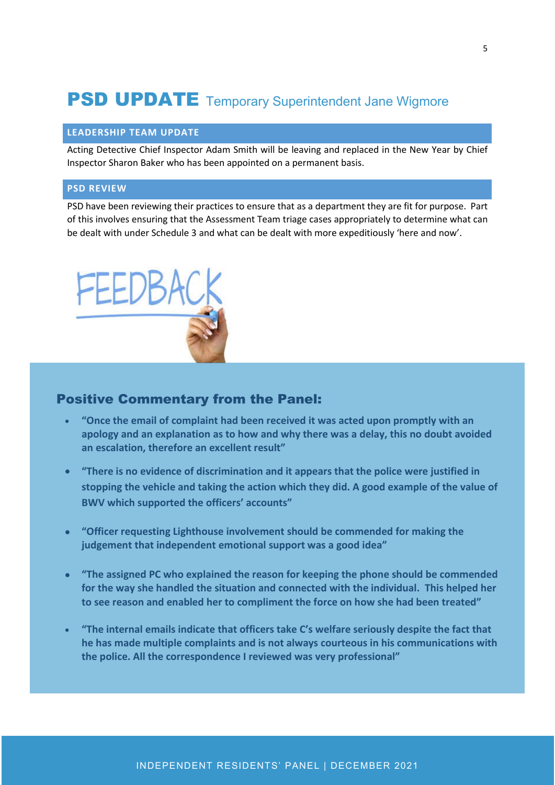### **PSD UPDATE** Temporary Superintendent Jane Wigmore

#### **LEADERSHIP TEAM UPDATE**

Acting Detective Chief Inspector Adam Smith will be leaving and replaced in the New Year by Chief Inspector Sharon Baker who has been appointed on a permanent basis.

#### **PSD REVIEW**

PSD have been reviewing their practices to ensure that as a department they are fit for purpose. Part of this involves ensuring that the Assessment Team triage cases appropriately to determine what can be dealt with under Schedule 3 and what can be dealt with more expeditiously 'here and now'.



#### Positive Commentary from the Panel:

- **"Once the email of complaint had been received it was acted upon promptly with an apology and an explanation as to how and why there was a delay, this no doubt avoided an escalation, therefore an excellent result"**
- **"There is no evidence of discrimination and it appears that the police were justified in stopping the vehicle and taking the action which they did. A good example of the value of BWV which supported the officers' accounts"**
- **"Officer requesting Lighthouse involvement should be commended for making the judgement that independent emotional support was a good idea"**
- **"The assigned PC who explained the reason for keeping the phone should be commended for the way she handled the situation and connected with the individual. This helped her to see reason and enabled her to compliment the force on how she had been treated"**
- **"The internal emails indicate that officers take C's welfare seriously despite the fact that he has made multiple complaints and is not always courteous in his communications with the police. All the correspondence I reviewed was very professional"**

#### INDEPENDENT RESIDENTS' PANEL | DECEMBER 2021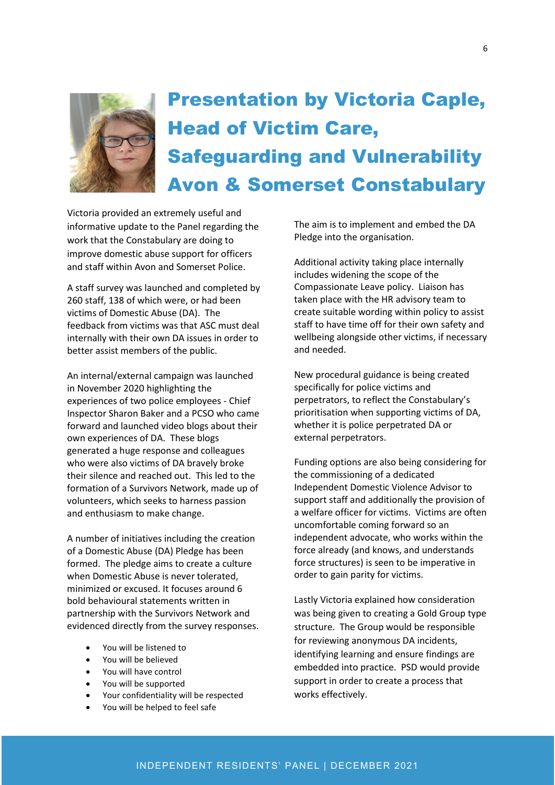

# Presentation by Victoria Caple, Head of Victim Care, Safeguarding and Vulnerability Avon & Somerset Constabulary

Victoria provided an extremely useful and informative update to the Panel regarding the work that the Constabulary are doing to improve domestic abuse support for officers and staff within Avon and Somerset Police.

A staff survey was launched and completed by 260 staff, 138 of which were, or had been victims of Domestic Abuse (DA). The feedback from victims was that ASC must deal internally with their own DA issues in order to better assist members of the public.

An internal/external campaign was launched in November 2020 highlighting the experiences of two police employees - Chief Inspector Sharon Baker and a PCSO who came forward and launched video blogs about their own experiences of DA. These blogs generated a huge response and colleagues who were also victims of DA bravely broke their silence and reached out. This led to the formation of a Survivors Network, made up of volunteers, which seeks to harness passion and enthusiasm to make change.

A number of initiatives including the creation of a Domestic Abuse (DA) Pledge has been formed. The pledge aims to create a culture when Domestic Abuse is never tolerated, minimized or excused. It focuses around 6 bold behavioural statements written in partnership with the Survivors Network and evidenced directly from the survey responses.

- You will be listened to
- You will be believed
- You will have control
- You will be supported
- Your confidentiality will be respected
- You will be helped to feel safe

The aim is to implement and embed the DA Pledge into the organisation.

Additional activity taking place internally includes widening the scope of the Compassionate Leave policy. Liaison has taken place with the HR advisory team to create suitable wording within policy to assist staff to have time off for their own safety and wellbeing alongside other victims, if necessary and needed.

New procedural guidance is being created specifically for police victims and perpetrators, to reflect the Constabulary's prioritisation when supporting victims of DA, whether it is police perpetrated DA or external perpetrators.

Funding options are also being considering for the commissioning of a dedicated Independent Domestic Violence Advisor to support staff and additionally the provision of a welfare officer for victims. Victims are often uncomfortable coming forward so an independent advocate, who works within the force already (and knows, and understands force structures) is seen to be imperative in order to gain parity for victims.

Lastly Victoria explained how consideration was being given to creating a Gold Group type structure. The Group would be responsible for reviewing anonymous DA incidents, identifying learning and ensure findings are embedded into practice. PSD would provide support in order to create a process that works effectively.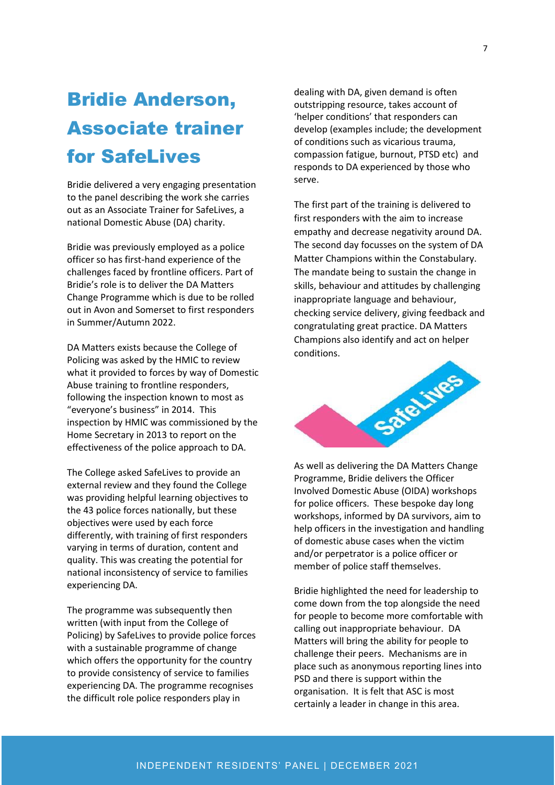# Bridie Anderson, Associate trainer for SafeLives

Bridie delivered a very engaging presentation to the panel describing the work she carries out as an Associate Trainer for SafeLives, a national Domestic Abuse (DA) charity.

Bridie was previously employed as a police officer so has first-hand experience of the challenges faced by frontline officers. Part of Bridie's role is to deliver the DA Matters Change Programme which is due to be rolled out in Avon and Somerset to first responders in Summer/Autumn 2022.

DA Matters exists because the College of Policing was asked by the HMIC to review what it provided to forces by way of Domestic Abuse training to frontline responders, following the inspection known to most as "everyone's business" in 2014. This inspection by HMIC was commissioned by the Home Secretary in 2013 to report on the effectiveness of the police approach to DA.

The College asked SafeLives to provide an external review and they found the College was providing helpful learning objectives to the 43 police forces nationally, but these objectives were used by each force differently, with training of first responders varying in terms of duration, content and quality. This was creating the potential for national inconsistency of service to families experiencing DA.

The programme was subsequently then written (with input from the College of Policing) by SafeLives to provide police forces with a sustainable programme of change which offers the opportunity for the country to provide consistency of service to families experiencing DA. The programme recognises the difficult role police responders play in

dealing with DA, given demand is often outstripping resource, takes account of 'helper conditions' that responders can develop (examples include; the development of conditions such as vicarious trauma, compassion fatigue, burnout, PTSD etc) and responds to DA experienced by those who serve.

The first part of the training is delivered to first responders with the aim to increase empathy and decrease negativity around DA. The second day focusses on the system of DA Matter Champions within the Constabulary. The mandate being to sustain the change in skills, behaviour and attitudes by challenging inappropriate language and behaviour, checking service delivery, giving feedback and congratulating great practice. DA Matters Champions also identify and act on helper conditions.



As well as delivering the DA Matters Change Programme, Bridie delivers the Officer Involved Domestic Abuse (OIDA) workshops for police officers. These bespoke day long workshops, informed by DA survivors, aim to help officers in the investigation and handling of domestic abuse cases when the victim and/or perpetrator is a police officer or member of police staff themselves.

Bridie highlighted the need for leadership to come down from the top alongside the need for people to become more comfortable with calling out inappropriate behaviour. DA Matters will bring the ability for people to challenge their peers. Mechanisms are in place such as anonymous reporting lines into PSD and there is support within the organisation. It is felt that ASC is most certainly a leader in change in this area.

#### INDEPENDENT RESIDENTS' PANEL | DECEMBER 2021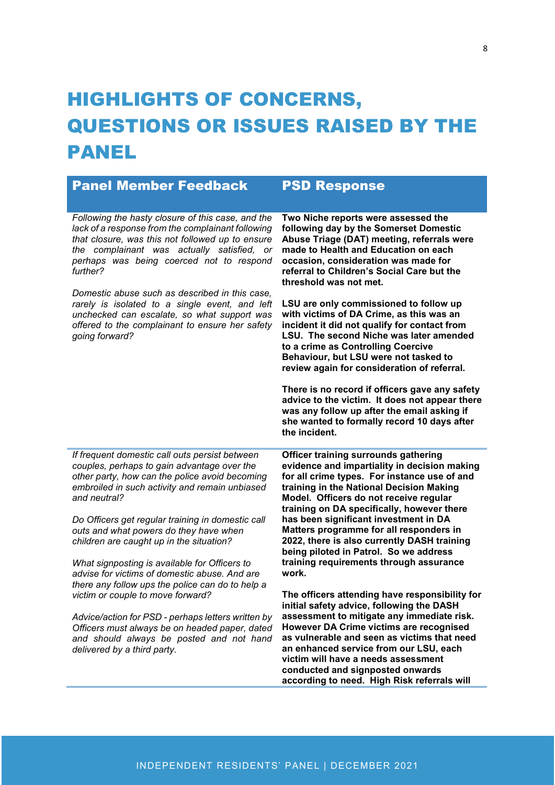# HIGHLIGHTS OF CONCERNS, QUESTIONS OR ISSUES RAISED BY THE **PANEL**

| <b>Panel Member Feedback</b>                                                                                                                                                                                                                                     | <b>PSD Response</b>                                                                                                                                                                                                                                                                                                                                                                                                                                          |
|------------------------------------------------------------------------------------------------------------------------------------------------------------------------------------------------------------------------------------------------------------------|--------------------------------------------------------------------------------------------------------------------------------------------------------------------------------------------------------------------------------------------------------------------------------------------------------------------------------------------------------------------------------------------------------------------------------------------------------------|
| Following the hasty closure of this case, and the<br>lack of a response from the complainant following<br>that closure, was this not followed up to ensure<br>the complainant was actually satisfied, or<br>perhaps was being coerced not to respond<br>further? | Two Niche reports were assessed the<br>following day by the Somerset Domestic<br>Abuse Triage (DAT) meeting, referrals were<br>made to Health and Education on each<br>occasion, consideration was made for<br>referral to Children's Social Care but the<br>threshold was not met.                                                                                                                                                                          |
| Domestic abuse such as described in this case,<br>rarely is isolated to a single event, and left<br>unchecked can escalate, so what support was<br>offered to the complainant to ensure her safety<br>going forward?                                             | LSU are only commissioned to follow up<br>with victims of DA Crime, as this was an<br>incident it did not qualify for contact from<br>LSU. The second Niche was later amended<br>to a crime as Controlling Coercive<br>Behaviour, but LSU were not tasked to<br>review again for consideration of referral.                                                                                                                                                  |
|                                                                                                                                                                                                                                                                  | There is no record if officers gave any safety<br>advice to the victim. It does not appear there<br>was any follow up after the email asking if<br>she wanted to formally record 10 days after<br>the incident.                                                                                                                                                                                                                                              |
| If frequent domestic call outs persist between<br>couples, perhaps to gain advantage over the<br>other party, how can the police avoid becoming<br>embroiled in such activity and remain unbiased<br>and neutral?                                                | <b>Officer training surrounds gathering</b><br>evidence and impartiality in decision making<br>for all crime types. For instance use of and<br>training in the National Decision Making<br>Model. Officers do not receive regular<br>training on DA specifically, however there<br>has been significant investment in DA<br>Matters programme for all responders in<br>2022, there is also currently DASH training<br>being piloted in Patrol. So we address |
| Do Officers get regular training in domestic call<br>outs and what powers do they have when<br>children are caught up in the situation?                                                                                                                          |                                                                                                                                                                                                                                                                                                                                                                                                                                                              |
| What signposting is available for Officers to<br>advise for victims of domestic abuse. And are<br>there any follow ups the police can do to help a                                                                                                               | training requirements through assurance<br>work.                                                                                                                                                                                                                                                                                                                                                                                                             |
| victim or couple to move forward?<br>Advice/action for PSD - perhaps letters written by                                                                                                                                                                          | The officers attending have responsibility for<br>initial safety advice, following the DASH<br>assessment to mitigate any immediate risk.                                                                                                                                                                                                                                                                                                                    |
| Officers must always be on headed paper, dated<br>and should always be posted and not hand<br>delivered by a third party.                                                                                                                                        | However DA Crime victims are recognised<br>as vulnerable and seen as victims that need<br>an enhanced service from our LSU, each<br>victim will have a needs assessment<br>conducted and signposted onwards<br>according to need. High Risk referrals will                                                                                                                                                                                                   |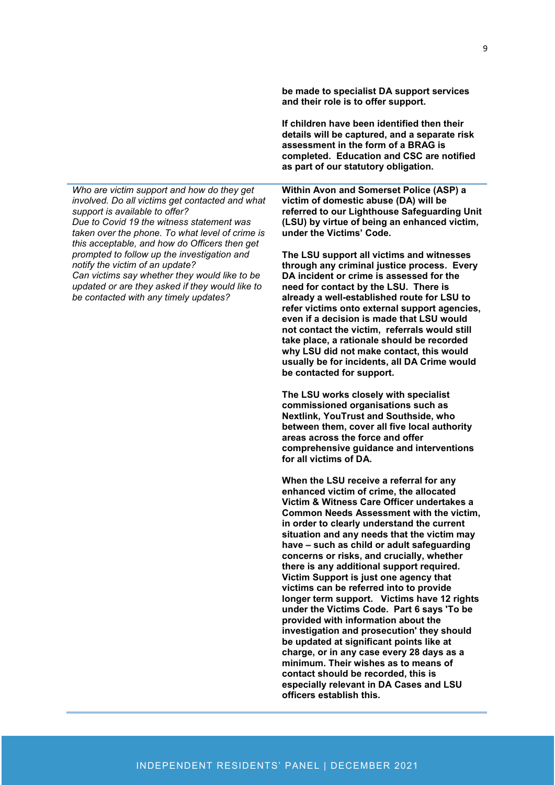*Who are victim support and how do they get involved. Do all victims get contacted and what support is available to offer? Due to Covid 19 the witness statement was taken over the phone. To what level of crime is this acceptable, and how do Officers then get prompted to follow up the investigation and notify the victim of an update? Can victims say whether they would like to be* 

*updated or are they asked if they would like to be contacted with any timely updates?*

**be made to specialist DA support services and their role is to offer support.** 

**If children have been identified then their details will be captured, and a separate risk assessment in the form of a BRAG is completed. Education and CSC are notified as part of our statutory obligation.**

**Within Avon and Somerset Police (ASP) a victim of domestic abuse (DA) will be referred to our Lighthouse Safeguarding Unit (LSU) by virtue of being an enhanced victim, under the Victims' Code.** 

**The LSU support all victims and witnesses through any criminal justice process. Every DA incident or crime is assessed for the need for contact by the LSU. There is already a well-established route for LSU to refer victims onto external support agencies, even if a decision is made that LSU would not contact the victim, referrals would still take place, a rationale should be recorded why LSU did not make contact, this would usually be for incidents, all DA Crime would be contacted for support.** 

**The LSU works closely with specialist commissioned organisations such as Nextlink, YouTrust and Southside, who between them, cover all five local authority areas across the force and offer comprehensive guidance and interventions for all victims of DA.** 

**When the LSU receive a referral for any enhanced victim of crime, the allocated Victim & Witness Care Officer undertakes a Common Needs Assessment with the victim, in order to clearly understand the current situation and any needs that the victim may have – such as child or adult safeguarding concerns or risks, and crucially, whether there is any additional support required. Victim Support is just one agency that victims can be referred into to provide longer term support. Victims have 12 rights under the Victims Code. Part 6 says 'To be provided with information about the investigation and prosecution' they should be updated at significant points like at charge, or in any case every 28 days as a minimum. Their wishes as to means of contact should be recorded, this is especially relevant in DA Cases and LSU officers establish this.**